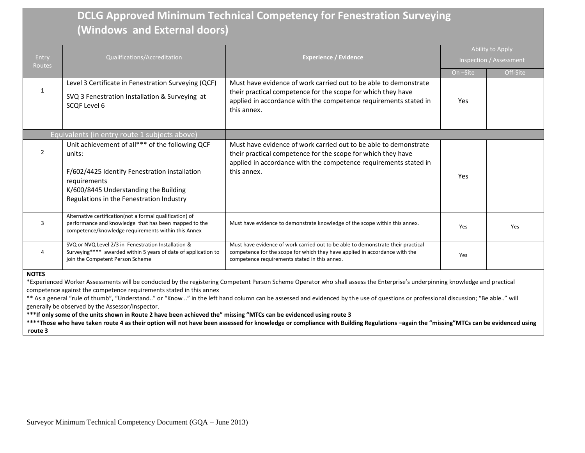## **DCLG Approved Minimum Technical Competency for Fenestration Surveying (Windows and External doors)**

|                        | Qualifications/Accreditation                                                                                                                                                                                    | <b>Experience / Evidence</b>                                                                                                                                                                                        | <b>Ability to Apply</b> |          |
|------------------------|-----------------------------------------------------------------------------------------------------------------------------------------------------------------------------------------------------------------|---------------------------------------------------------------------------------------------------------------------------------------------------------------------------------------------------------------------|-------------------------|----------|
| Entry<br><b>Routes</b> |                                                                                                                                                                                                                 |                                                                                                                                                                                                                     | Inspection / Assessment |          |
|                        |                                                                                                                                                                                                                 |                                                                                                                                                                                                                     | On -Site                | Off-Site |
|                        | Level 3 Certificate in Fenestration Surveying (QCF)<br>SVQ 3 Fenestration Installation & Surveying at<br>SCOF Level 6                                                                                           | Must have evidence of work carried out to be able to demonstrate<br>their practical competence for the scope for which they have<br>applied in accordance with the competence requirements stated in<br>this annex. | Yes                     |          |
|                        | Equivalents (in entry route 1 subjects above)                                                                                                                                                                   |                                                                                                                                                                                                                     |                         |          |
| 2                      | Unit achievement of all*** of the following QCF<br>units:<br>F/602/4425 Identify Fenestration installation<br>requirements<br>K/600/8445 Understanding the Building<br>Regulations in the Fenestration Industry | Must have evidence of work carried out to be able to demonstrate<br>their practical competence for the scope for which they have<br>applied in accordance with the competence requirements stated in<br>this annex. | Yes                     |          |
| 3                      | Alternative certification(not a formal qualification) of<br>performance and knowledge that has been mapped to the<br>competence/knowledge requirements within this Annex                                        | Must have evidence to demonstrate knowledge of the scope within this annex.                                                                                                                                         | Yes                     | Yes      |
| $\overline{A}$         | SVQ or NVQ Level 2/3 in Fenestration Installation &<br>Surveying**** awarded within 5 years of date of application to<br>join the Competent Person Scheme                                                       | Must have evidence of work carried out to be able to demonstrate their practical<br>competence for the scope for which they have applied in accordance with the<br>competence requirements stated in this annex.    | Yes                     |          |

**NOTES**

\*Experienced Worker Assessments will be conducted by the registering Competent Person Scheme Operator who shall assess the Enterprise's underpinning knowledge and practical competence against the competence requirements stated in this annex

\*\* As a general "rule of thumb", "Understand.." or "Know .." in the left hand column can be assessed and evidenced by the use of questions or professional discussion; "Be able.." will generally be observed by the Assessor/Inspector.

**\*\*\*If only some of the units shown in Route 2 have been achieved the" missing "MTCs can be evidenced using route 3**

**\*\*\*\*Those who have taken route 4 as their option will not have been assessed for knowledge or compliance with Building Regulations –again the "missing"MTCs can be evidenced using route 3**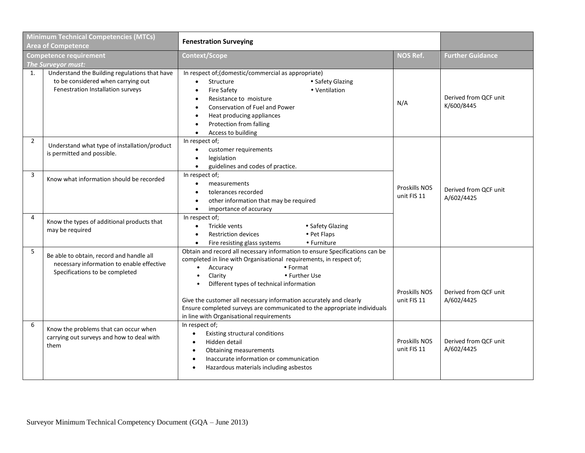| <b>Minimum Technical Competencies (MTCs)</b><br><b>Area of Competence</b> |                                                                                                                          | <b>Fenestration Surveying</b>                                                                                                                                                                                                                                                                                                                                                                                                                   |                                     |                                     |  |
|---------------------------------------------------------------------------|--------------------------------------------------------------------------------------------------------------------------|-------------------------------------------------------------------------------------------------------------------------------------------------------------------------------------------------------------------------------------------------------------------------------------------------------------------------------------------------------------------------------------------------------------------------------------------------|-------------------------------------|-------------------------------------|--|
| <b>Competence requirement</b><br>The Surveyor must:                       |                                                                                                                          | Context/Scope                                                                                                                                                                                                                                                                                                                                                                                                                                   | <b>NOS Ref.</b>                     | <b>Further Guidance</b>             |  |
| 1.                                                                        | Understand the Building regulations that have<br>to be considered when carrying out<br>Fenestration Installation surveys | In respect of; (domestic/commercial as appropriate)<br>• Safety Glazing<br>Structure<br>$\bullet$<br><b>Fire Safety</b><br>• Ventilation<br>$\bullet$<br>Resistance to moisture<br>$\bullet$<br><b>Conservation of Fuel and Power</b><br>$\bullet$<br>Heat producing appliances<br>$\bullet$<br>Protection from falling<br>$\bullet$<br>Access to building<br>$\bullet$                                                                         | N/A                                 | Derived from QCF unit<br>K/600/8445 |  |
| $\overline{2}$                                                            | Understand what type of installation/product<br>is permitted and possible.                                               | In respect of;<br>customer requirements<br>$\bullet$<br>legislation<br>$\bullet$<br>guidelines and codes of practice.<br>$\bullet$                                                                                                                                                                                                                                                                                                              |                                     |                                     |  |
| 3                                                                         | Know what information should be recorded                                                                                 | In respect of;<br>measurements<br>$\bullet$<br>tolerances recorded<br>$\bullet$<br>other information that may be required<br>$\bullet$<br>importance of accuracy<br>$\bullet$                                                                                                                                                                                                                                                                   | <b>Proskills NOS</b><br>unit FIS 11 | Derived from QCF unit<br>A/602/4425 |  |
| 4                                                                         | Know the types of additional products that<br>may be required                                                            | In respect of;<br>Trickle vents<br>• Safety Glazing<br>$\bullet$<br><b>Restriction devices</b><br>• Pet Flaps<br>$\bullet$<br>• Furniture<br>Fire resisting glass systems<br>$\bullet$                                                                                                                                                                                                                                                          |                                     |                                     |  |
| 5                                                                         | Be able to obtain, record and handle all<br>necessary information to enable effective<br>Specifications to be completed  | Obtain and record all necessary information to ensure Specifications can be<br>completed in line with Organisational requirements, in respect of;<br>Accuracy<br>• Format<br>Clarity<br>• Further Use<br>Different types of technical information<br>Give the customer all necessary information accurately and clearly<br>Ensure completed surveys are communicated to the appropriate individuals<br>in line with Organisational requirements | Proskills NOS<br>unit FIS 11        | Derived from QCF unit<br>A/602/4425 |  |
| 6                                                                         | Know the problems that can occur when<br>carrying out surveys and how to deal with<br>them                               | In respect of;<br>Existing structural conditions<br>$\bullet$<br>Hidden detail<br>$\bullet$<br><b>Obtaining measurements</b><br>$\bullet$<br>Inaccurate information or communication<br>$\bullet$<br>Hazardous materials including asbestos                                                                                                                                                                                                     | <b>Proskills NOS</b><br>unit FIS 11 | Derived from QCF unit<br>A/602/4425 |  |